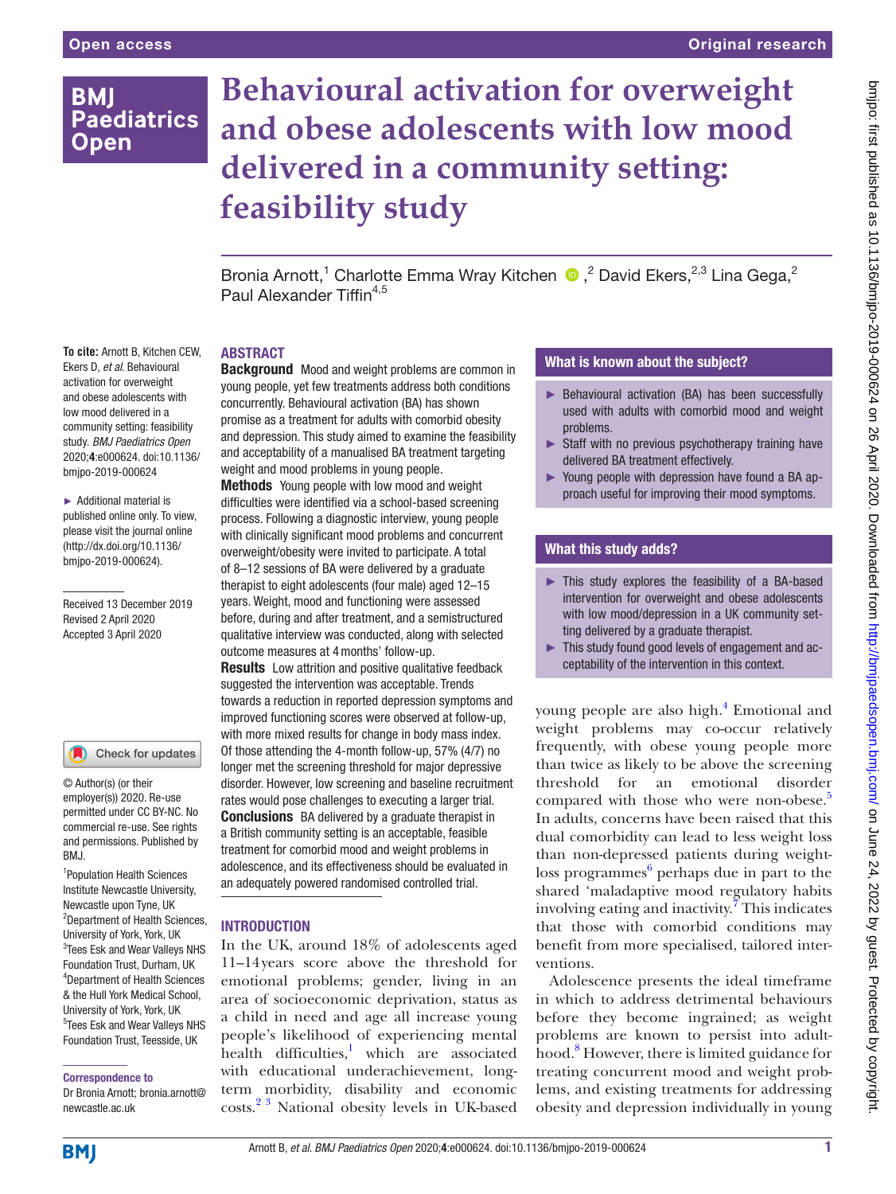# **BMI Paediatrics Open**

**To cite:** Arnott B, Kitchen CEW, Ekers D, *et al*. Behavioural activation for overweight and obese adolescents with low mood delivered in a community setting: feasibility study. *BMJ Paediatrics Open* 2020;4:e000624. doi:10.1136/ bmjpo-2019-000624 ► Additional material is published online only. To view, please visit the journal online (http://dx.doi.org/10.1136/ bmjpo-2019-000624).

Received 13 December 2019 Revised 2 April 2020 Accepted 3 April 2020

# **Behavioural activation for overweight and obese adolescents with low mood delivered in a community setting: feasibility study**

BroniaArnott,<sup>1</sup> Charlotte Emma Wray Kitchen <sup>n</sup>,<sup>2</sup> David Ekers,<sup>2,3</sup> Lina Gega,<sup>2</sup> Paul Alexander Tiffin<sup>4,5</sup>

## **ABSTRACT**

**Background** Mood and weight problems are common in young people, yet few treatments address both conditions concurrently. Behavioural activation (BA) has shown promise as a treatment for adults with comorbid obesity and depression. This study aimed to examine the feasibility and acceptability of a manualised BA treatment targeting weight and mood problems in young people.

**Methods** Young people with low mood and weight difficulties were identified via a school-based screening process. Following a diagnostic interview, young people with clinically significant mood problems and concurrent overweight/obesity were invited to participate. A total of 8–12 sessions of BA were delivered by a graduate therapist to eight adolescents (four male) aged 12–15 years. Weight, mood and functioning were assessed before, during and after treatment, and a semistructured qualitative interview was conducted, along with selected outcome measures at 4months' follow-up.

**Results** Low attrition and positive qualitative feedback suggested the intervention was acceptable. Trends towards a reduction in reported depression symptoms and improved functioning scores were observed at follow-up, with more mixed results for change in body mass index. Of those attending the 4-month follow-up, 57% (4/7) no longer met the screening threshold for major depressive disorder. However, low screening and baseline recruitment rates would pose challenges to executing a larger trial. **Conclusions** BA delivered by a graduate therapist in a British community setting is an acceptable, feasible treatment for comorbid mood and weight problems in adolescence, and its effectiveness should be evaluated in an adequately powered randomised controlled trial.

#### **INTRODUCTION**

In the UK, around 18% of adolescents aged 11–14years score above the threshold for emotional problems; gender, living in an area of socioeconomic deprivation, status as a child in need and age all increase young people's likelihood of experiencing mental health difficulties,<sup>1</sup> which are associated with educational underachievement, longterm morbidity, disability and economic costs.[2 3](#page-8-0) National obesity levels in UK-based

## What is known about the subject?

- ► Behavioural activation (BA) has been successfully used with adults with comorbid mood and weight problems.
- $\triangleright$  Staff with no previous psychotherapy training have delivered BA treatment effectively.
- ► Young people with depression have found a BA approach useful for improving their mood symptoms.

## What this study adds?

- ► This study explores the feasibility of a BA-based intervention for overweight and obese adolescents with low mood/depression in a UK community setting delivered by a graduate therapist.
- ► This study found good levels of engagement and acceptability of the intervention in this context.

young people are also high.<sup>[4](#page-8-1)</sup> Emotional and weight problems may co-occur relatively frequently, with obese young people more than twice as likely to be above the screening threshold for an emotional disorder compared with those who were non-obese.<sup>[5](#page-8-2)</sup> In adults, concerns have been raised that this dual comorbidity can lead to less weight loss than non-depressed patients during weightloss programmes<sup>6</sup> perhaps due in part to the shared 'maladaptive mood regulatory habits involving eating and inactivity.<sup>7</sup> This indicates that those with comorbid conditions may benefit from more specialised, tailored interventions.

Adolescence presents the ideal timeframe in which to address detrimental behaviours before they become ingrained; as weight problems are known to persist into adulthood.[8](#page-8-5) However, there is limited guidance for treating concurrent mood and weight problems, and existing treatments for addressing obesity and depression individually in young

Correspondence to

1 Population Health Sciences Institute Newcastle University, Newcastle upon Tyne, UK <sup>2</sup>Department of Health Sciences, University of York, York, UK <sup>3</sup>Tees Esk and Wear Valleys NHS Foundation Trust, Durham, UK 4 Department of Health Sciences & the Hull York Medical School, University of York, York, UK 5 Tees Esk and Wear Valleys NHS Foundation Trust, Teesside, UK

Check for updates

© Author(s) (or their employer(s)) 2020. Re-use permitted under CC BY-NC. No commercial re-use. See rights and permissions. Published by

BMJ.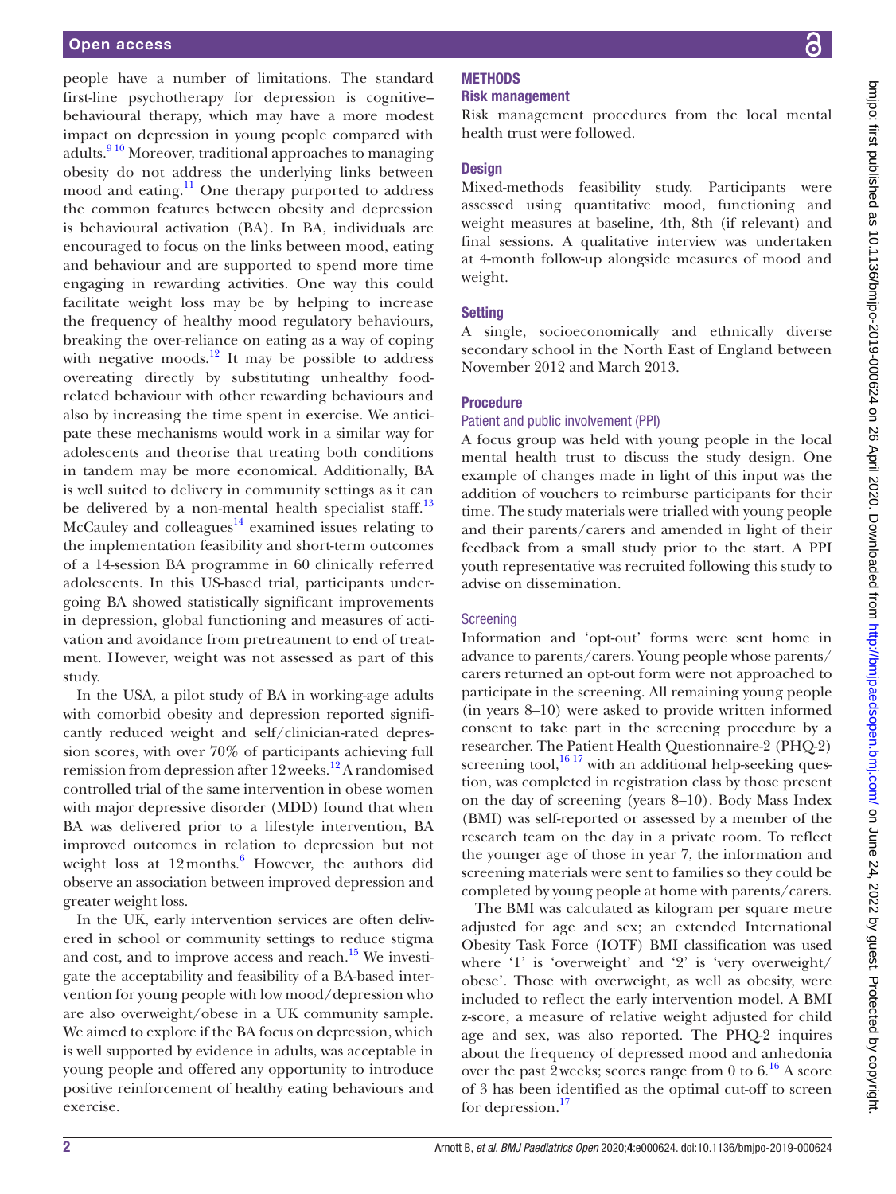people have a number of limitations. The standard first-line psychotherapy for depression is cognitive– behavioural therapy, which may have a more modest impact on depression in young people compared with adults.<sup>910</sup> Moreover, traditional approaches to managing obesity do not address the underlying links between mood and eating.<sup>[11](#page-8-7)</sup> One therapy purported to address the common features between obesity and depression is behavioural activation (BA). In BA, individuals are encouraged to focus on the links between mood, eating and behaviour and are supported to spend more time engaging in rewarding activities. One way this could facilitate weight loss may be by helping to increase the frequency of healthy mood regulatory behaviours, breaking the over-reliance on eating as a way of coping with negative moods.<sup>[12](#page-8-8)</sup> It may be possible to address overeating directly by substituting unhealthy foodrelated behaviour with other rewarding behaviours and also by increasing the time spent in exercise. We anticipate these mechanisms would work in a similar way for adolescents and theorise that treating both conditions in tandem may be more economical. Additionally, BA is well suited to delivery in community settings as it can be delivered by a non-mental health specialist staff.<sup>[13](#page-8-9)</sup> McCauley and colleagues $^{14}$  $^{14}$  $^{14}$  examined issues relating to the implementation feasibility and short-term outcomes of a 14-session BA programme in 60 clinically referred adolescents. In this US-based trial, participants undergoing BA showed statistically significant improvements in depression, global functioning and measures of activation and avoidance from pretreatment to end of treatment. However, weight was not assessed as part of this study.

In the USA, a pilot study of BA in working-age adults with comorbid obesity and depression reported significantly reduced weight and self/clinician-rated depression scores, with over 70% of participants achieving full remission from depression after 12 weeks.<sup>12</sup> A randomised controlled trial of the same intervention in obese women with major depressive disorder (MDD) found that when BA was delivered prior to a lifestyle intervention, BA improved outcomes in relation to depression but not weight loss at 12 months.<sup>[6](#page-8-3)</sup> However, the authors did observe an association between improved depression and greater weight loss.

In the UK, early intervention services are often delivered in school or community settings to reduce stigma and cost, and to improve access and reach.<sup>15</sup> We investigate the acceptability and feasibility of a BA-based intervention for young people with low mood/depression who are also overweight/obese in a UK community sample. We aimed to explore if the BA focus on depression, which is well supported by evidence in adults, was acceptable in young people and offered any opportunity to introduce positive reinforcement of healthy eating behaviours and exercise.

## Risk management

Risk management procedures from the local mental health trust were followed.

#### **Design**

Mixed-methods feasibility study. Participants were assessed using quantitative mood, functioning and weight measures at baseline, 4th, 8th (if relevant) and final sessions. A qualitative interview was undertaken at 4-month follow-up alongside measures of mood and weight.

## **Setting**

A single, socioeconomically and ethnically diverse secondary school in the North East of England between November 2012 and March 2013.

## Procedure

#### Patient and public involvement (PPI)

A focus group was held with young people in the local mental health trust to discuss the study design. One example of changes made in light of this input was the addition of vouchers to reimburse participants for their time. The study materials were trialled with young people and their parents/carers and amended in light of their feedback from a small study prior to the start. A PPI youth representative was recruited following this study to advise on dissemination.

#### **Screening**

Information and 'opt-out' forms were sent home in advance to parents/carers. Young people whose parents/ carers returned an opt-out form were not approached to participate in the screening. All remaining young people (in years 8–10) were asked to provide written informed consent to take part in the screening procedure by a researcher. The Patient Health Questionnaire-2 (PHQ-2) screening tool, $1617$  with an additional help-seeking question, was completed in registration class by those present on the day of screening (years 8–10). Body Mass Index (BMI) was self-reported or assessed by a member of the research team on the day in a private room. To reflect the younger age of those in year 7, the information and screening materials were sent to families so they could be completed by young people at home with parents/carers.

The BMI was calculated as kilogram per square metre adjusted for age and sex; an extended International Obesity Task Force (IOTF) BMI classification was used where '1' is 'overweight' and '2' is 'very overweight/ obese'. Those with overweight, as well as obesity, were included to reflect the early intervention model. A BMI z-score, a measure of relative weight adjusted for child age and sex, was also reported. The PHQ-2 inquires about the frequency of depressed mood and anhedonia over the past 2 weeks; scores range from 0 to  $6^{16}$  $6^{16}$  $6^{16}$  A score of 3 has been identified as the optimal cut-off to screen for depression.<sup>17</sup>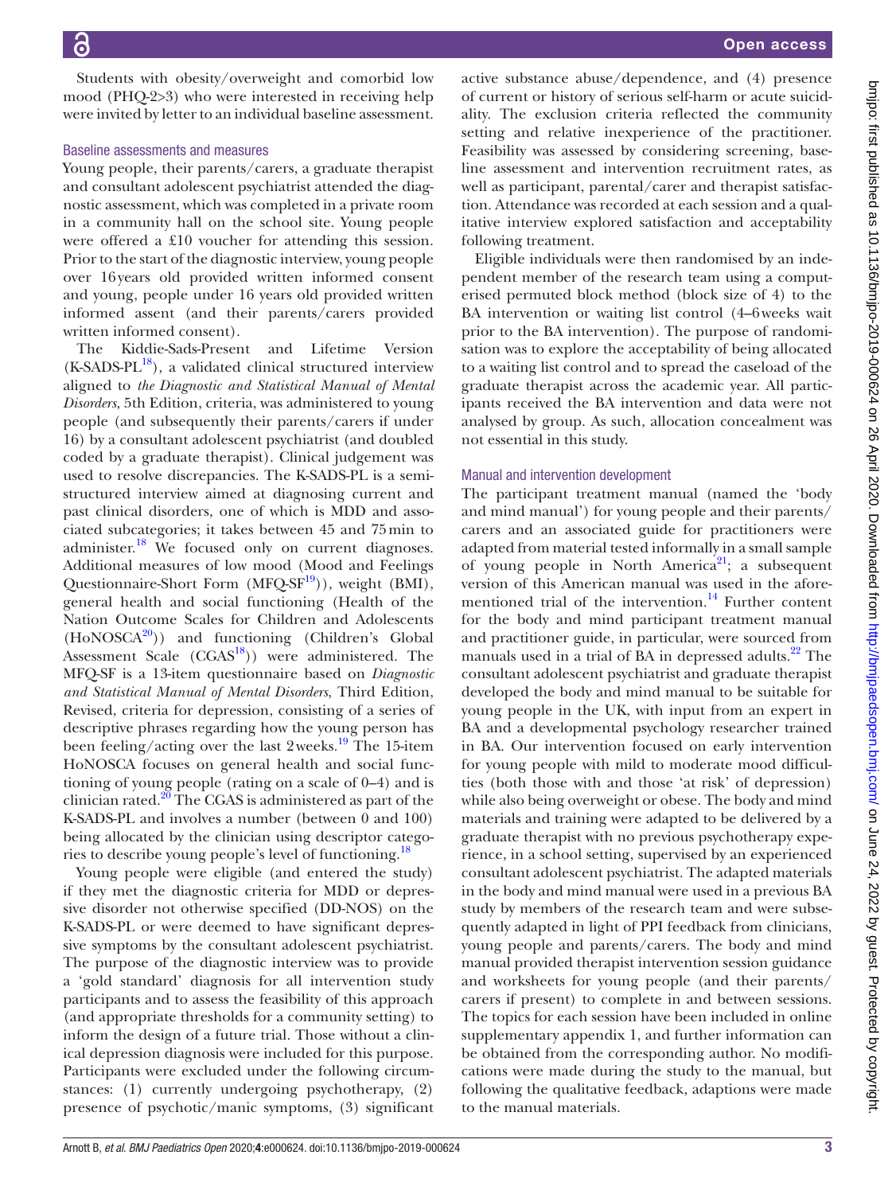Students with obesity/overweight and comorbid low mood (PHQ-2>3) who were interested in receiving help were invited by letter to an individual baseline assessment.

#### Baseline assessments and measures

Young people, their parents/carers, a graduate therapist and consultant adolescent psychiatrist attended the diagnostic assessment, which was completed in a private room in a community hall on the school site. Young people were offered a £10 voucher for attending this session. Prior to the start of the diagnostic interview, young people over 16years old provided written informed consent and young, people under 16 years old provided written informed assent (and their parents/carers provided written informed consent).

The Kiddie-Sads-Present and Lifetime Version  $(K-SADS-PL<sup>18</sup>)$ , a validated clinical structured interview aligned to *the Diagnostic and Statistical Manual of Mental Disorders*, 5th Edition, criteria, was administered to young people (and subsequently their parents/carers if under 16) by a consultant adolescent psychiatrist (and doubled coded by a graduate therapist). Clinical judgement was used to resolve discrepancies. The K-SADS-PL is a semistructured interview aimed at diagnosing current and past clinical disorders, one of which is MDD and associated subcategories; it takes between 45 and 75min to administer.<sup>[18](#page-8-14)</sup> We focused only on current diagnoses. Additional measures of low mood (Mood and Feelings Questionnaire-Short Form  $(MFQ-SF<sup>19</sup>)$ , weight  $(BMI)$ , general health and social functioning (Health of the Nation Outcome Scales for Children and Adolescents  $(HoNOSCA<sup>20</sup>)$  $(HoNOSCA<sup>20</sup>)$  $(HoNOSCA<sup>20</sup>)$  and functioning (Children's Global Assessment Scale  $(CGAS<sup>18</sup>)$  were administered. The MFQ-SF is a 13-item questionnaire based on *Diagnostic and Statistical Manual of Mental Disorders*, Third Edition, Revised, criteria for depression, consisting of a series of descriptive phrases regarding how the young person has been feeling/acting over the last 2weeks.<sup>19</sup> The 15-item HoNOSCA focuses on general health and social functioning of young people (rating on a scale of 0–4) and is clinician rated. $20$  The CGAS is administered as part of the K-SADS-PL and involves a number (between 0 and 100) being allocated by the clinician using descriptor categories to describe young people's level of functioning.<sup>18</sup>

Young people were eligible (and entered the study) if they met the diagnostic criteria for MDD or depressive disorder not otherwise specified (DD-NOS) on the K-SADS-PL or were deemed to have significant depressive symptoms by the consultant adolescent psychiatrist. The purpose of the diagnostic interview was to provide a 'gold standard' diagnosis for all intervention study participants and to assess the feasibility of this approach (and appropriate thresholds for a community setting) to inform the design of a future trial. Those without a clinical depression diagnosis were included for this purpose. Participants were excluded under the following circumstances: (1) currently undergoing psychotherapy, (2) presence of psychotic/manic symptoms, (3) significant

active substance abuse/dependence, and (4) presence of current or history of serious self-harm or acute suicidality. The exclusion criteria reflected the community setting and relative inexperience of the practitioner. Feasibility was assessed by considering screening, baseline assessment and intervention recruitment rates, as well as participant, parental/carer and therapist satisfaction. Attendance was recorded at each session and a qualitative interview explored satisfaction and acceptability following treatment.

Eligible individuals were then randomised by an independent member of the research team using a computerised permuted block method (block size of 4) to the BA intervention or waiting list control (4–6weeks wait prior to the BA intervention). The purpose of randomisation was to explore the acceptability of being allocated to a waiting list control and to spread the caseload of the graduate therapist across the academic year. All participants received the BA intervention and data were not analysed by group. As such, allocation concealment was not essential in this study.

#### Manual and intervention development

The participant treatment manual (named the 'body and mind manual') for young people and their parents/ carers and an associated guide for practitioners were adapted from material tested informally in a small sample of young people in North America<sup>21</sup>; a subsequent version of this American manual was used in the aforementioned trial of the intervention. $^{14}$  Further content for the body and mind participant treatment manual and practitioner guide, in particular, were sourced from manuals used in a trial of BA in depressed adults.<sup>22</sup> The consultant adolescent psychiatrist and graduate therapist developed the body and mind manual to be suitable for young people in the UK, with input from an expert in BA and a developmental psychology researcher trained in BA. Our intervention focused on early intervention for young people with mild to moderate mood difficulties (both those with and those 'at risk' of depression) while also being overweight or obese. The body and mind materials and training were adapted to be delivered by a graduate therapist with no previous psychotherapy experience, in a school setting, supervised by an experienced consultant adolescent psychiatrist. The adapted materials in the body and mind manual were used in a previous BA study by members of the research team and were subsequently adapted in light of PPI feedback from clinicians, young people and parents/carers. The body and mind manual provided therapist intervention session guidance and worksheets for young people (and their parents/ carers if present) to complete in and between sessions. The topics for each session have been included in [online](https://dx.doi.org/10.1136/bmjpo-2019-000624) [supplementary appendix 1,](https://dx.doi.org/10.1136/bmjpo-2019-000624) and further information can be obtained from the corresponding author. No modifications were made during the study to the manual, but following the qualitative feedback, adaptions were made to the manual materials.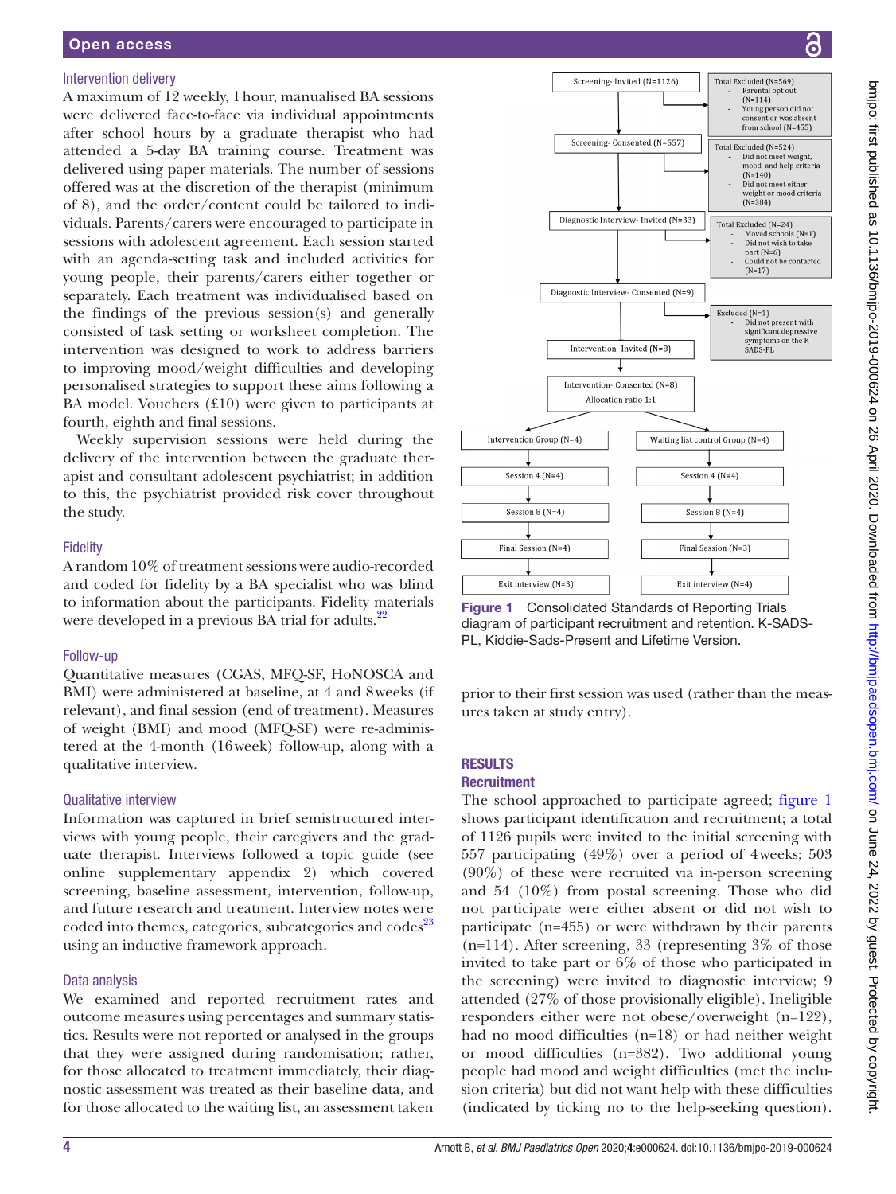## Intervention delivery

A maximum of 12 weekly, 1hour, manualised BA sessions were delivered face-to-face via individual appointments after school hours by a graduate therapist who had attended a 5-day BA training course. Treatment was delivered using paper materials. The number of sessions offered was at the discretion of the therapist (minimum of 8), and the order/content could be tailored to individuals. Parents/carers were encouraged to participate in sessions with adolescent agreement. Each session started with an agenda-setting task and included activities for young people, their parents/carers either together or separately. Each treatment was individualised based on the findings of the previous session(s) and generally consisted of task setting or worksheet completion. The intervention was designed to work to address barriers to improving mood/weight difficulties and developing personalised strategies to support these aims following a BA model. Vouchers (£10) were given to participants at fourth, eighth and final sessions.

Weekly supervision sessions were held during the delivery of the intervention between the graduate therapist and consultant adolescent psychiatrist; in addition to this, the psychiatrist provided risk cover throughout the study.

## **Fidelity**

A random 10% of treatment sessions were audio-recorded and coded for fidelity by a BA specialist who was blind to information about the participants. Fidelity materials were developed in a previous BA trial for adults.<sup>[22](#page-8-18)</sup>

## Follow-up

Quantitative measures (CGAS, MFQ-SF, HoNOSCA and BMI) were administered at baseline, at 4 and 8weeks (if relevant), and final session (end of treatment). Measures of weight (BMI) and mood (MFQ-SF) were re-administered at the 4-month (16week) follow-up, along with a qualitative interview.

## Qualitative interview

Information was captured in brief semistructured interviews with young people, their caregivers and the graduate therapist. Interviews followed a topic guide (see [online supplementary appendix 2\)](https://dx.doi.org/10.1136/bmjpo-2019-000624) which covered screening, baseline assessment, intervention, follow-up, and future research and treatment. Interview notes were coded into themes, categories, subcategories and codes<sup>23</sup> using an inductive framework approach.

## Data analysis

We examined and reported recruitment rates and outcome measures using percentages and summary statistics. Results were not reported or analysed in the groups that they were assigned during randomisation; rather, for those allocated to treatment immediately, their diagnostic assessment was treated as their baseline data, and for those allocated to the waiting list, an assessment taken





<span id="page-3-0"></span>Figure 1 Consolidated Standards of Reporting Trials diagram of participant recruitment and retention. K-SADS-PL, Kiddie-Sads-Present and Lifetime Version.

prior to their first session was used (rather than the measures taken at study entry).

#### **RESULTS Recruitment**

The school approached to participate agreed; [figure](#page-3-0) 1 shows participant identification and recruitment; a total of 1126 pupils were invited to the initial screening with 557 participating (49%) over a period of 4weeks; 503 (90%) of these were recruited via in-person screening and 54 (10%) from postal screening. Those who did not participate were either absent or did not wish to participate (n=455) or were withdrawn by their parents (n=114). After screening, 33 (representing 3% of those invited to take part or 6% of those who participated in the screening) were invited to diagnostic interview; 9 attended (27% of those provisionally eligible). Ineligible responders either were not obese/overweight (n=122), had no mood difficulties (n=18) or had neither weight or mood difficulties (n=382). Two additional young people had mood and weight difficulties (met the inclusion criteria) but did not want help with these difficulties (indicated by ticking no to the help-seeking question).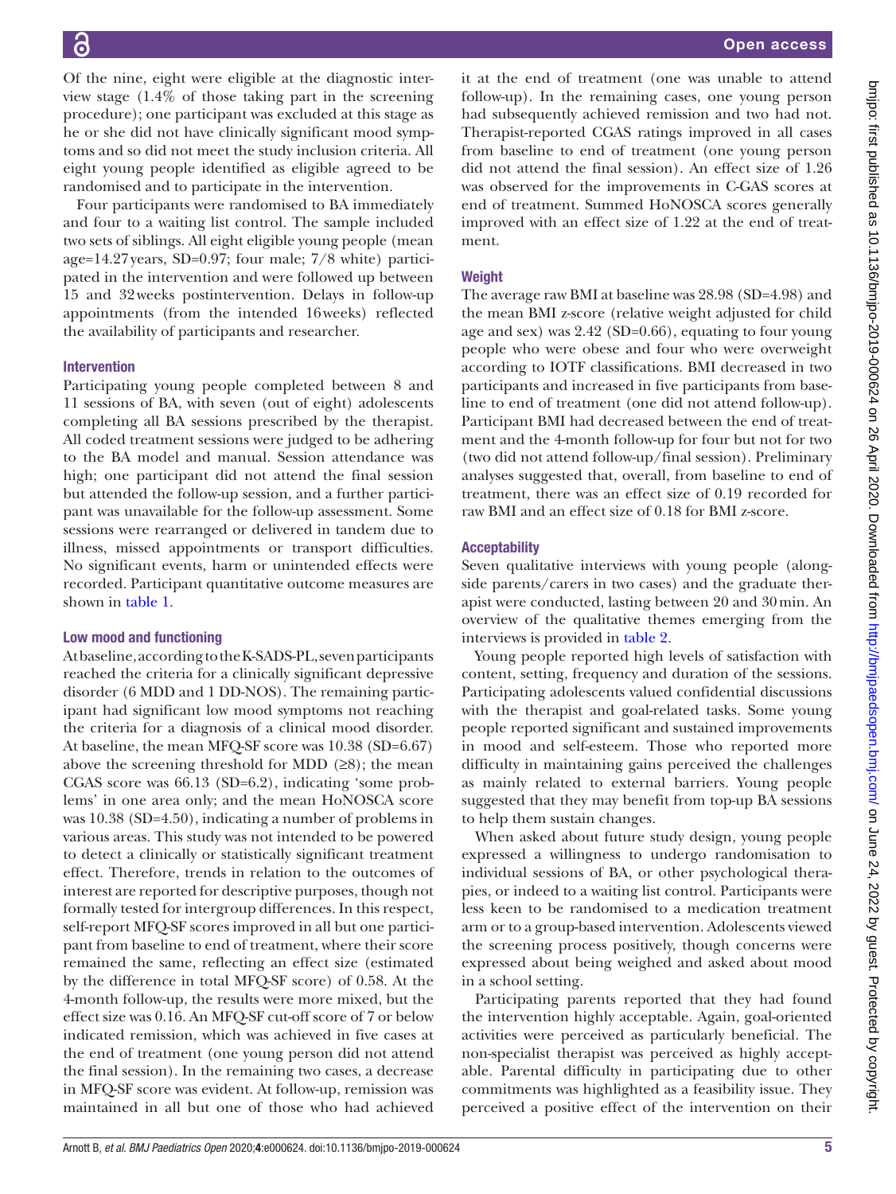Of the nine, eight were eligible at the diagnostic interview stage (1.4% of those taking part in the screening procedure); one participant was excluded at this stage as he or she did not have clinically significant mood symptoms and so did not meet the study inclusion criteria. All eight young people identified as eligible agreed to be randomised and to participate in the intervention.

Four participants were randomised to BA immediately and four to a waiting list control. The sample included two sets of siblings. All eight eligible young people (mean age=14.27years, SD=0.97; four male; 7/8 white) participated in the intervention and were followed up between 15 and 32weeks postintervention. Delays in follow-up appointments (from the intended 16weeks) reflected the availability of participants and researcher.

## Intervention

Participating young people completed between 8 and 11 sessions of BA, with seven (out of eight) adolescents completing all BA sessions prescribed by the therapist. All coded treatment sessions were judged to be adhering to the BA model and manual. Session attendance was high; one participant did not attend the final session but attended the follow-up session, and a further participant was unavailable for the follow-up assessment. Some sessions were rearranged or delivered in tandem due to illness, missed appointments or transport difficulties. No significant events, harm or unintended effects were recorded. Participant quantitative outcome measures are shown in [table](#page-5-0) 1.

#### Low mood and functioning

At baseline, according to the K-SADS-PL, seven participants reached the criteria for a clinically significant depressive disorder (6 MDD and 1 DD-NOS). The remaining participant had significant low mood symptoms not reaching the criteria for a diagnosis of a clinical mood disorder. At baseline, the mean MFQ-SF score was 10.38 (SD=6.67) above the screening threshold for MDD  $(≥8)$ ; the mean CGAS score was 66.13 (SD=6.2), indicating 'some problems' in one area only; and the mean HoNOSCA score was 10.38 (SD=4.50), indicating a number of problems in various areas. This study was not intended to be powered to detect a clinically or statistically significant treatment effect. Therefore, trends in relation to the outcomes of interest are reported for descriptive purposes, though not formally tested for intergroup differences. In this respect, self-report MFQ-SF scores improved in all but one participant from baseline to end of treatment, where their score remained the same, reflecting an effect size (estimated by the difference in total MFQ-SF score) of 0.58. At the 4-month follow-up, the results were more mixed, but the effect size was 0.16. An MFQ-SF cut-off score of 7 or below indicated remission, which was achieved in five cases at the end of treatment (one young person did not attend the final session). In the remaining two cases, a decrease in MFQ-SF score was evident. At follow-up, remission was maintained in all but one of those who had achieved

it at the end of treatment (one was unable to attend follow-up). In the remaining cases, one young person had subsequently achieved remission and two had not. Therapist-reported CGAS ratings improved in all cases from baseline to end of treatment (one young person did not attend the final session). An effect size of 1.26 was observed for the improvements in C-GAS scores at end of treatment. Summed HoNOSCA scores generally improved with an effect size of 1.22 at the end of treatment.

## **Weight**

The average raw BMI at baseline was 28.98 (SD=4.98) and the mean BMI z-score (relative weight adjusted for child age and sex) was 2.42 (SD=0.66), equating to four young people who were obese and four who were overweight according to IOTF classifications. BMI decreased in two participants and increased in five participants from baseline to end of treatment (one did not attend follow-up). Participant BMI had decreased between the end of treatment and the 4-month follow-up for four but not for two (two did not attend follow-up/final session). Preliminary analyses suggested that, overall, from baseline to end of treatment, there was an effect size of 0.19 recorded for raw BMI and an effect size of 0.18 for BMI z-score.

## **Acceptability**

Seven qualitative interviews with young people (alongside parents/carers in two cases) and the graduate therapist were conducted, lasting between 20 and 30min. An overview of the qualitative themes emerging from the interviews is provided in [table](#page-7-0) 2.

Young people reported high levels of satisfaction with content, setting, frequency and duration of the sessions. Participating adolescents valued confidential discussions with the therapist and goal-related tasks. Some young people reported significant and sustained improvements in mood and self-esteem. Those who reported more difficulty in maintaining gains perceived the challenges as mainly related to external barriers. Young people suggested that they may benefit from top-up BA sessions to help them sustain changes.

When asked about future study design, young people expressed a willingness to undergo randomisation to individual sessions of BA, or other psychological therapies, or indeed to a waiting list control. Participants were less keen to be randomised to a medication treatment arm or to a group-based intervention. Adolescents viewed the screening process positively, though concerns were expressed about being weighed and asked about mood in a school setting.

Participating parents reported that they had found the intervention highly acceptable. Again, goal-oriented activities were perceived as particularly beneficial. The non-specialist therapist was perceived as highly acceptable. Parental difficulty in participating due to other commitments was highlighted as a feasibility issue. They perceived a positive effect of the intervention on their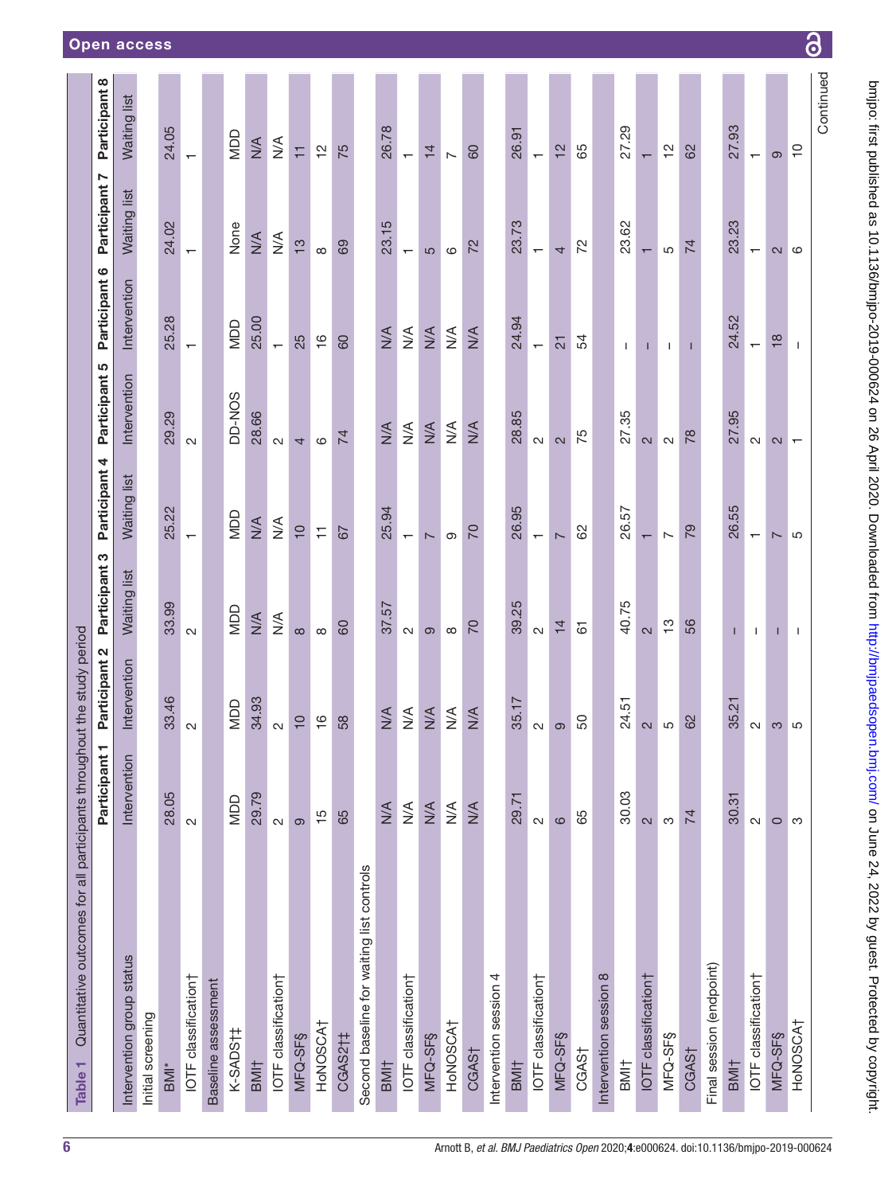<span id="page-5-0"></span>

| Quantitative outcomes for all participants throughout the study period<br>Table 1 |                      |                                  |                          |                          |                              |                                  |                          |                          |
|-----------------------------------------------------------------------------------|----------------------|----------------------------------|--------------------------|--------------------------|------------------------------|----------------------------------|--------------------------|--------------------------|
|                                                                                   | Participant 1        | Participant 2                    | Participant 3            | Participant 4            | Participant 5                | Participant 6                    | N<br>Participant         | Participant 8            |
| Intervention group status                                                         | Intervention         | Intervention                     | Waiting list             | Waiting list             | Intervention                 | Intervention                     | Waiting list             | Waiting list             |
| Initial screening                                                                 |                      |                                  |                          |                          |                              |                                  |                          |                          |
| $BM^*$                                                                            | 28.05                | 33.46                            | 33.99                    | 25.22                    | 29.29                        | 25.28                            | 24.02                    | 24.05                    |
| IOTF classification†                                                              | $\sim$               | $\sim$                           | $\sim$                   | $\overline{\phantom{0}}$ | $\sim$                       | $\overline{\phantom{0}}$         | $\overline{\phantom{0}}$ | $\overline{\phantom{0}}$ |
| Baseline assessment                                                               |                      |                                  |                          |                          |                              |                                  |                          |                          |
| K-SADS <sub>11</sub>                                                              | <b>UOD</b>           | <b>QOM</b>                       | QOM                      | OOM                      | DD-NOS                       | <b>UOM</b>                       | None                     | NDD                      |
| BMI <sub>†</sub>                                                                  | 29.79                | 34.93                            | $\frac{4}{2}$            | $\frac{4}{2}$            | 28.66                        | 25.00                            | $\frac{4}{\sqrt{2}}$     | $\frac{4}{2}$            |
| IOTF classification†                                                              | $\mathbf{C}$         | $\sim$                           | $\leq$                   | $\stackrel{\leq}{\geq}$  | $\sim$                       | $\overline{\phantom{0}}$         | $\frac{4}{2}$            | $\stackrel{\leq}{\geq}$  |
| MFQ-SF§                                                                           | ၜ                    | $\overline{C}$                   | $\infty$                 | $\overline{C}$           | 4                            | 25                               | $\frac{1}{2}$            | Ξ                        |
| HONOSCAT                                                                          | $\frac{5}{1}$        | $\frac{6}{1}$                    | $\infty$                 | Ξ                        | $\rm \odot$                  | $\frac{6}{1}$                    | $\infty$                 | $\frac{1}{2}$            |
| CGAS2†‡                                                                           | 65                   | 58                               | 60                       | 67                       | 74                           | 60                               | 69                       | 75                       |
| Second baseline for waiting list controls                                         |                      |                                  |                          |                          |                              |                                  |                          |                          |
| BMI <sub>T</sub>                                                                  | $\frac{4}{\sqrt{2}}$ | $\frac{4}{2}$                    | 37.57                    | 25.94                    | $M^4$                        | $\frac{4}{2}$                    | 23.15                    | 26.78                    |
| IOTF classification†                                                              | $\lessgtr$           | $\stackrel{\leq}{\geq}$          | $\sim$                   | $\overline{\phantom{0}}$ | $\stackrel{\triangle}{\geq}$ | $\stackrel{\triangleleft}{\geq}$ | $\overline{\phantom{0}}$ | $\leftarrow$             |
| $MFQ-SFS$                                                                         | $\frac{4}{2}$        | $\frac{4}{\sqrt{2}}$             | ၜ                        | $\overline{ }$           | $\frac{4}{2}$                | $\frac{4}{2}$                    | 5                        | $\overline{4}$           |
| HONOSCA <sub>T</sub>                                                              | $\frac{4}{2}$        | $\stackrel{\triangleleft}{\geq}$ | $\infty$                 | တ                        | $\lessgtr$                   | $\stackrel{\leq}{\geq}$          | ဖ                        | $\overline{\phantom{a}}$ |
| CGAS <sub>T</sub>                                                                 | $M^{\mathcal{A}}$    | N/A                              | 70                       | 70                       | $M\uparrow$                  | $M^4$                            | 72                       | 60                       |
| Intervention session 4                                                            |                      |                                  |                          |                          |                              |                                  |                          |                          |
| BMI <sub>†</sub>                                                                  | 29.71                | 35.17                            | 39.25                    | 26.95                    | 28.85                        | 24.94                            | 23.73                    | 26.91                    |
| IOTF classification                                                               | $\sim$               | $\sim$                           | $\mathbf{\Omega}$        | $\overline{\phantom{0}}$ | $\sim$                       | $\leftarrow$                     | $\overline{\phantom{0}}$ | $\overline{\phantom{0}}$ |
| MFQ-SF§                                                                           | $\circ$              | Θ                                | $\frac{1}{4}$            | $\overline{ }$           | $\mathbf{C}$                 | $\overline{21}$                  | 4                        | $\frac{2}{3}$            |
| CGAS†                                                                             | 65                   | 50                               | $\overline{6}$           | 8                        | 75                           | 54                               | 72                       | 65                       |
| Intervention session 8                                                            |                      |                                  |                          |                          |                              |                                  |                          |                          |
| BMI <sup>+</sup>                                                                  | 30.03                | 24.51                            | 40.75                    | 26.57                    | 27.35                        | $\mathbf{I}$                     | 23.62                    | 27.29                    |
| IOTF classification                                                               | $\sim$               | $\mathbf{\Omega}$                | $\overline{\mathcal{C}}$ | $\overline{\phantom{0}}$ | $\overline{\mathcal{C}}$     |                                  | $\overline{\phantom{0}}$ | $\overline{\phantom{0}}$ |
| $MFQ-SF\S$                                                                        | S                    | 5                                | $\frac{1}{2}$            | $\overline{\phantom{a}}$ | $\sim$                       | T.                               | 5                        | $\frac{1}{2}$            |
| CGAS <sub>1</sub>                                                                 | 74                   | 62                               | 56                       | 79                       | 78                           | Т                                | 74                       | 82                       |
| Final session (endpoint)                                                          |                      |                                  |                          |                          |                              |                                  |                          |                          |
| BMI <sub>†</sub>                                                                  | 30.31                | 35.21                            | п                        | 26.55                    | 27.95                        | 24.52                            | 23.23                    | 27.93                    |
| IOTF classification†                                                              | $\sim$               | $\sim$                           | $\mathbf{I}$             | $\overline{\phantom{0}}$ | $\sim$                       | $\overline{\phantom{0}}$         | $\overline{\phantom{0}}$ | $\overline{\phantom{0}}$ |
| MFQ-SF§                                                                           | $\circ$              | S                                |                          | $\overline{ }$           | $\mathbf{C}$                 | $\frac{8}{1}$                    | $\mathbf{C}$             | ၜ                        |
| HONOSCA <sub>T</sub>                                                              | က                    | ြ ၊ က                            | $\mathbf{I}$             | LO                       | $\overline{\phantom{0}}$     | $\mathbf{I}$                     | $\circ$                  | $\overline{C}$           |
|                                                                                   |                      |                                  |                          |                          |                              |                                  |                          | Continued                |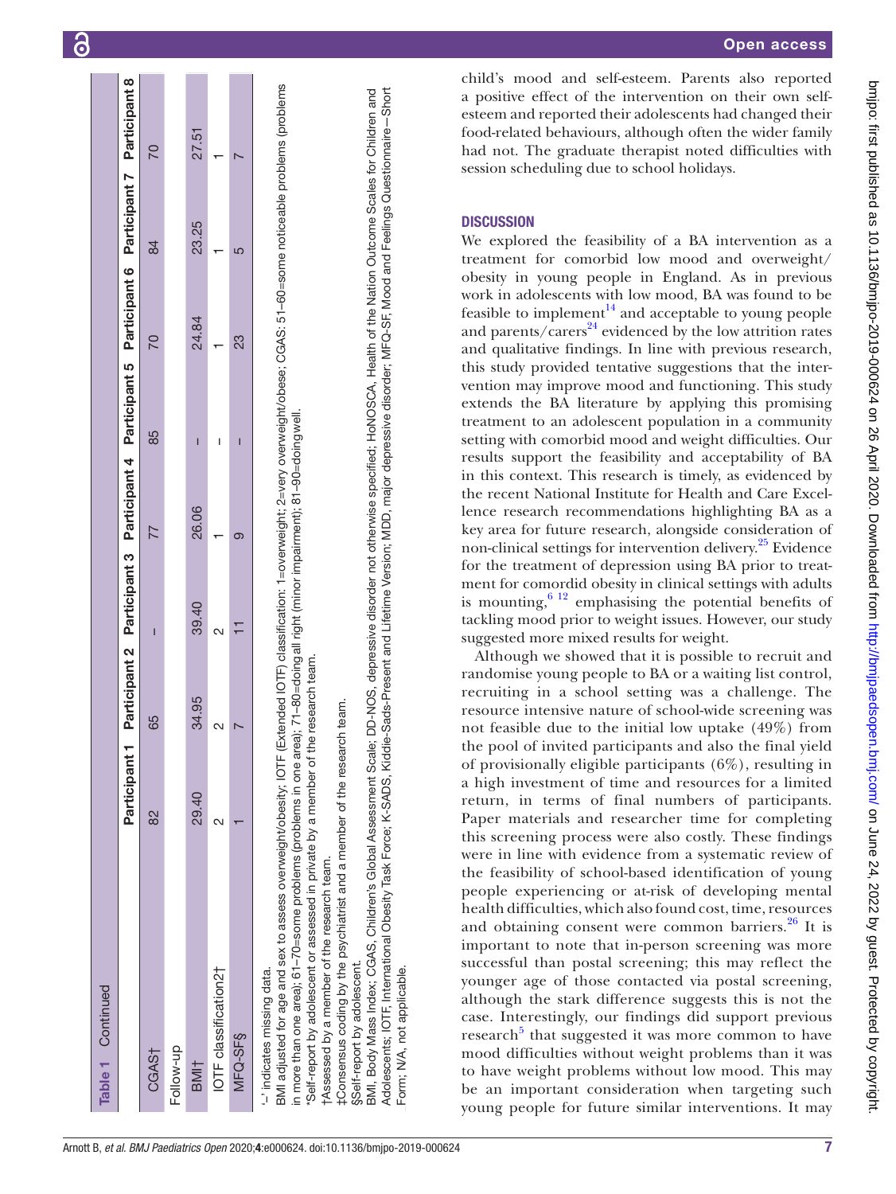| Table 1 Continued                                                                                                                                                                                                                                                                                                                                                                                                                                                                |             |                                                                                                                       |       |       |    |                                                                                                   |       |       |
|----------------------------------------------------------------------------------------------------------------------------------------------------------------------------------------------------------------------------------------------------------------------------------------------------------------------------------------------------------------------------------------------------------------------------------------------------------------------------------|-------------|-----------------------------------------------------------------------------------------------------------------------|-------|-------|----|---------------------------------------------------------------------------------------------------|-------|-------|
|                                                                                                                                                                                                                                                                                                                                                                                                                                                                                  | Participant |                                                                                                                       |       |       |    | Participant 2 Participant 3 Participant 4 Participant 5 Participant 6 Participant 7 Participant 8 |       |       |
| CGAS <sub>T</sub>                                                                                                                                                                                                                                                                                                                                                                                                                                                                | 82          | 65                                                                                                                    |       |       | 85 | 20                                                                                                | 84    |       |
| Follow-up                                                                                                                                                                                                                                                                                                                                                                                                                                                                        |             |                                                                                                                       |       |       |    |                                                                                                   |       |       |
| BMI <sub>T</sub>                                                                                                                                                                                                                                                                                                                                                                                                                                                                 | 29.40       | 34.95                                                                                                                 | 39.40 | 26.06 | Ī  | 24.84                                                                                             | 23.25 | 27.51 |
| IOTF classification2+                                                                                                                                                                                                                                                                                                                                                                                                                                                            | $\sim$      |                                                                                                                       |       |       | Ī  |                                                                                                   |       |       |
| $MFQ-SFS$                                                                                                                                                                                                                                                                                                                                                                                                                                                                        |             |                                                                                                                       |       | σ.    | I  | 23                                                                                                | 5     |       |
| in more than one area); 61–70=some problems (problems in one area); 71–80=doingall right (minor impairment); 81–90=doing well.<br>Self-report by adolescent or assessed in private by a member of the research team.<br>tConsensus coding by the psychiatrist and a member of the research team.<br>BMI adjusted for age and sex to assess overweight/obesity; IOTF<br>t Assessed by a member of the research team.<br>§Self-report by adolescent.<br>-' indicates missing data. |             | (Extended IOTF) classification: 1=overweight; 2=very overweight/obese; CGAS: 51-60=some noticeable problems (problems |       |       |    |                                                                                                   |       |       |

Adolescents; IOTF, International Obesity Task Force; K-SADS, Kiddie-Sads-Present and Lifetime Version; MDD, major depressive disorder; MFQ-SF, Mood and Feelings Questionnaire—Short Adolescents; IOTF, International Obesity Task Force; K-SADS, Kiddie-Sads-Present and Lifetime Version; MDD, major depressive disorder; MFQ-SF, Mood and Feelings Questionnaire—Short 3<br>BMI. Body Mass Index: CGAS, Children's Global Assessment Scale: DD-NOS, depressive disorder not otherwise specified: HoNOSCA, Health of the Nation Outcome Scales for Children and BMI, Body Mass Index; CGAS, Children's Global Assessment Scale; DD-NOS, depressive disorder not otherwise specified; HoNOSCA, Health of the Nation Outcome Scales for Children and Form; N/A, not applicable. Form; N/A, not applicable.

child's mood and self-esteem. Parents also reported a positive effect of the intervention on their own selfesteem and reported their adolescents had changed their food-related behaviours, although often the wider family had not. The graduate therapist noted difficulties with session scheduling due to school holidays.

## **DISCUSSION**

We explored the feasibility of a BA intervention as a treatment for comorbid low mood and overweight/ obesity in young people in England. As in previous work in adolescents with low mood, BA was found to be feasible to implement $^{14}$  and acceptable to young people and parents/carers $24$  evidenced by the low attrition rates and qualitative findings. In line with previous research, this study provided tentative suggestions that the intervention may improve mood and functioning. This study extends the BA literature by applying this promising treatment to an adolescent population in a community setting with comorbid mood and weight difficulties. Our results support the feasibility and acceptability of BA in this context. This research is timely, as evidenced by the recent National Institute for Health and Care Excellence research recommendations highlighting BA as a key area for future research, alongside consideration of non-clinical settings for intervention delivery[.25](#page-8-21) Evidence for the treatment of depression using BA prior to treatment for comordid obesity in clinical settings with adults is mounting,  $6^{12}$  emphasising the potential benefits of tackling mood prior to weight issues. However, our study suggested more mixed results for weight.

Although we showed that it is possible to recruit and randomise young people to BA or a waiting list control, recruiting in a school setting was a challenge. The resource intensive nature of school-wide screening was not feasible due to the initial low uptake (49%) from the pool of invited participants and also the final yield of provisionally eligible participants (6%), resulting in a high investment of time and resources for a limited return, in terms of final numbers of participants. Paper materials and researcher time for completing this screening process were also costly. These findings were in line with evidence from a systematic review of the feasibility of school-based identification of young people experiencing or at-risk of developing mental health difficulties, which also found cost, time, resources and obtaining consent were common barriers. $26$  It is important to note that in-person screening was more successful than postal screening; this may reflect the younger age of those contacted via postal screening, although the stark difference suggests this is not the case. Interestingly, our findings did support previous research<sup>[5](#page-8-2)</sup> that suggested it was more common to have mood difficulties without weight problems than it was to have weight problems without low mood. This may be an important consideration when targeting such young people for future similar interventions. It may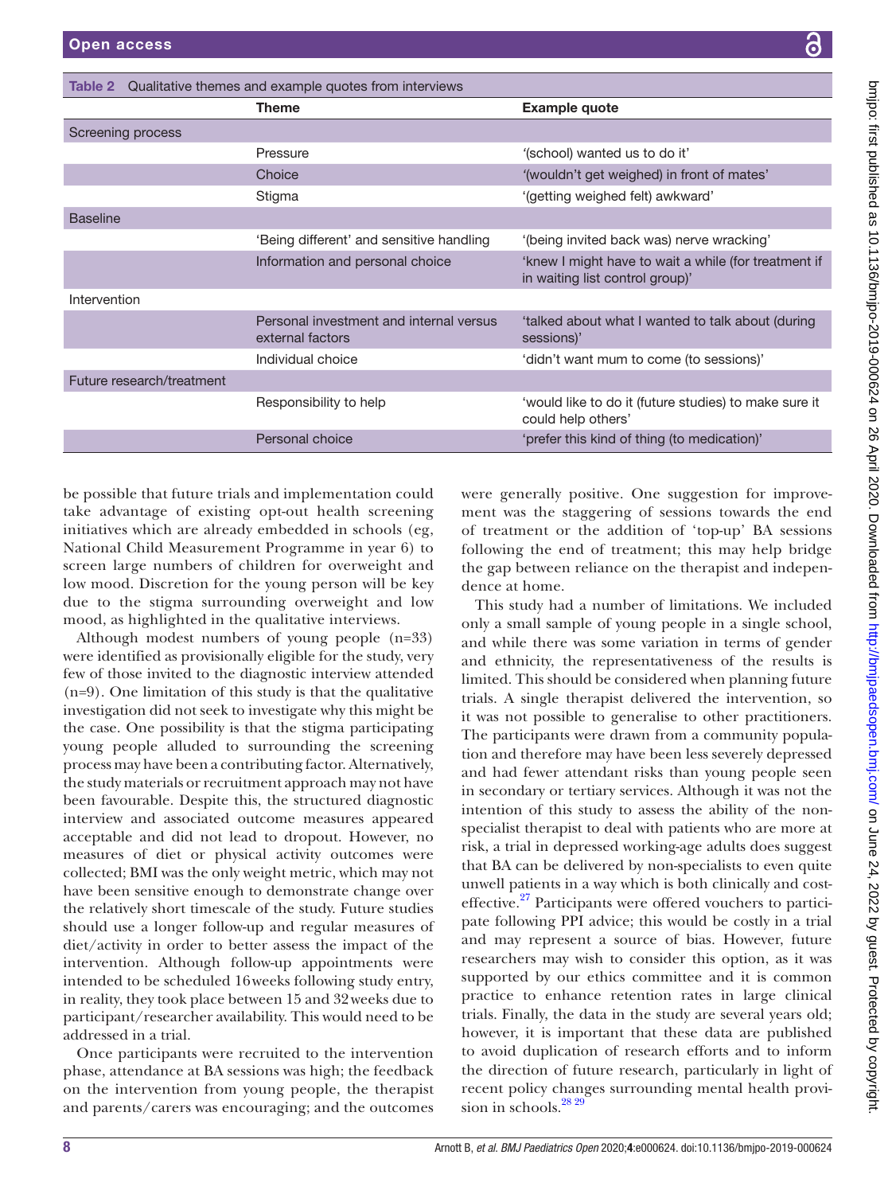|                           | <b>Theme</b>                                                | <b>Example quote</b>                                                                    |
|---------------------------|-------------------------------------------------------------|-----------------------------------------------------------------------------------------|
| Screening process         |                                                             |                                                                                         |
|                           | Pressure                                                    | '(school) wanted us to do it'                                                           |
|                           | Choice                                                      | '(wouldn't get weighed) in front of mates'                                              |
|                           | Stigma                                                      | '(getting weighed felt) awkward'                                                        |
| <b>Baseline</b>           |                                                             |                                                                                         |
|                           | 'Being different' and sensitive handling                    | '(being invited back was) nerve wracking'                                               |
|                           | Information and personal choice                             | 'knew I might have to wait a while (for treatment if<br>in waiting list control group)' |
| Intervention              |                                                             |                                                                                         |
|                           | Personal investment and internal versus<br>external factors | 'talked about what I wanted to talk about (during)<br>sessions)'                        |
|                           | Individual choice                                           | 'didn't want mum to come (to sessions)'                                                 |
| Future research/treatment |                                                             |                                                                                         |
|                           | Responsibility to help                                      | 'would like to do it (future studies) to make sure it<br>could help others'             |
|                           | Personal choice                                             | 'prefer this kind of thing (to medication)'                                             |

be possible that future trials and implementation could take advantage of existing opt-out health screening initiatives which are already embedded in schools (eg, National Child Measurement Programme in year 6) to screen large numbers of children for overweight and low mood. Discretion for the young person will be key due to the stigma surrounding overweight and low mood, as highlighted in the qualitative interviews.

<span id="page-7-0"></span>Table 2 Qualitative themes and example quotes from interviews

Although modest numbers of young people (n=33) were identified as provisionally eligible for the study, very few of those invited to the diagnostic interview attended (n=9). One limitation of this study is that the qualitative investigation did not seek to investigate why this might be the case. One possibility is that the stigma participating young people alluded to surrounding the screening process may have been a contributing factor. Alternatively, the study materials or recruitment approach may not have been favourable. Despite this, the structured diagnostic interview and associated outcome measures appeared acceptable and did not lead to dropout. However, no measures of diet or physical activity outcomes were collected; BMI was the only weight metric, which may not have been sensitive enough to demonstrate change over the relatively short timescale of the study. Future studies should use a longer follow-up and regular measures of diet/activity in order to better assess the impact of the intervention. Although follow-up appointments were intended to be scheduled 16weeks following study entry, in reality, they took place between 15 and 32weeks due to participant/researcher availability. This would need to be addressed in a trial.

Once participants were recruited to the intervention phase, attendance at BA sessions was high; the feedback on the intervention from young people, the therapist and parents/carers was encouraging; and the outcomes

were generally positive. One suggestion for improvement was the staggering of sessions towards the end of treatment or the addition of 'top-up' BA sessions following the end of treatment; this may help bridge the gap between reliance on the therapist and independence at home.

This study had a number of limitations. We included only a small sample of young people in a single school, and while there was some variation in terms of gender and ethnicity, the representativeness of the results is limited. This should be considered when planning future trials. A single therapist delivered the intervention, so it was not possible to generalise to other practitioners. The participants were drawn from a community population and therefore may have been less severely depressed and had fewer attendant risks than young people seen in secondary or tertiary services. Although it was not the intention of this study to assess the ability of the nonspecialist therapist to deal with patients who are more at risk, a trial in depressed working-age adults does suggest that BA can be delivered by non-specialists to even quite unwell patients in a way which is both clinically and costeffective.[27](#page-9-0) Participants were offered vouchers to participate following PPI advice; this would be costly in a trial and may represent a source of bias. However, future researchers may wish to consider this option, as it was supported by our ethics committee and it is common practice to enhance retention rates in large clinical trials. Finally, the data in the study are several years old; however, it is important that these data are published to avoid duplication of research efforts and to inform the direction of future research, particularly in light of recent policy changes surrounding mental health provision in schools.<sup>28 29</sup>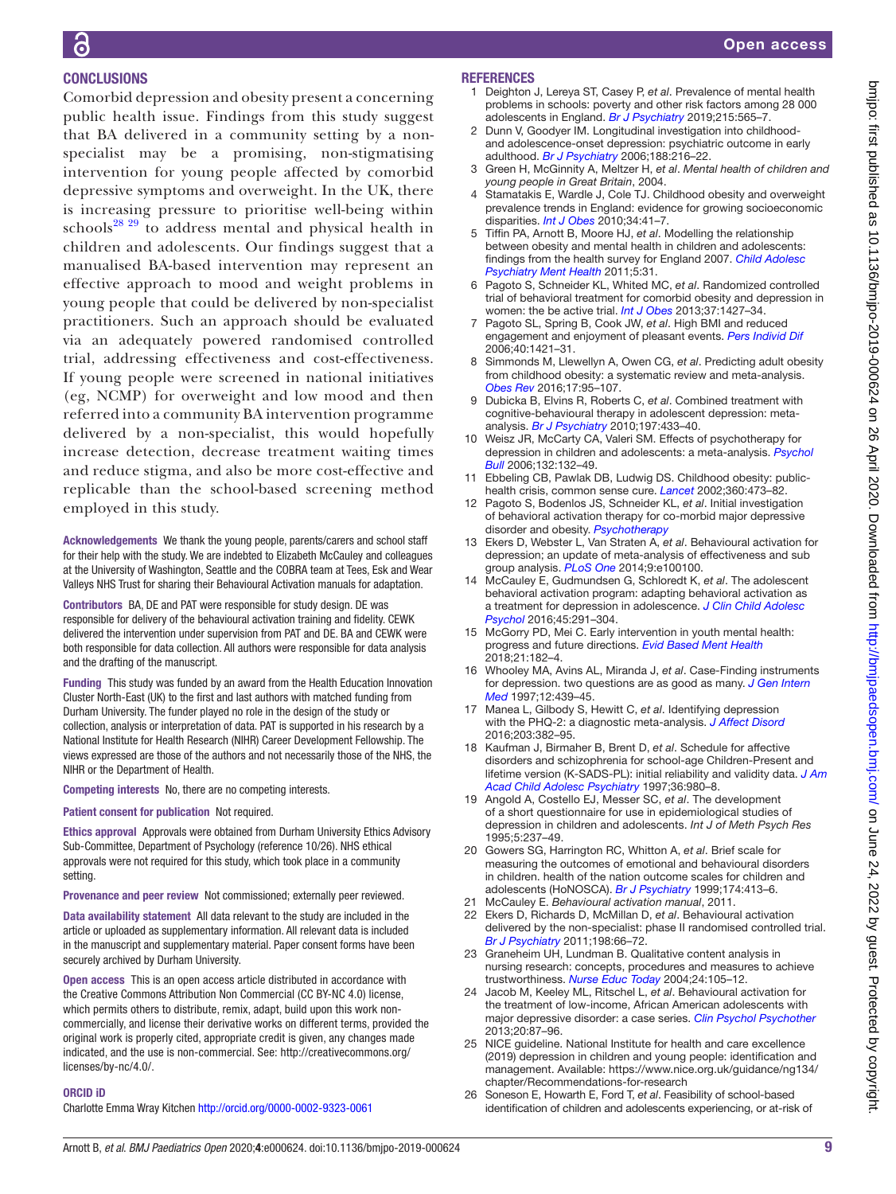## **CONCLUSIONS**

Comorbid depression and obesity present a concerning public health issue. Findings from this study suggest that BA delivered in a community setting by a nonspecialist may be a promising, non-stigmatising intervention for young people affected by comorbid depressive symptoms and overweight. In the UK, there is increasing pressure to prioritise well-being within schools<sup>[28 29](#page-9-1)</sup> to address mental and physical health in children and adolescents. Our findings suggest that a manualised BA-based intervention may represent an effective approach to mood and weight problems in young people that could be delivered by non-specialist practitioners. Such an approach should be evaluated via an adequately powered randomised controlled trial, addressing effectiveness and cost-effectiveness. If young people were screened in national initiatives (eg, NCMP) for overweight and low mood and then referred into a community BA intervention programme delivered by a non-specialist, this would hopefully increase detection, decrease treatment waiting times and reduce stigma, and also be more cost-effective and replicable than the school-based screening method employed in this study.

Acknowledgements We thank the young people, parents/carers and school staff for their help with the study. We are indebted to Elizabeth McCauley and colleagues at the University of Washington, Seattle and the COBRA team at Tees, Esk and Wear Valleys NHS Trust for sharing their Behavioural Activation manuals for adaptation.

Contributors BA, DE and PAT were responsible for study design. DE was responsible for delivery of the behavioural activation training and fidelity. CEWK delivered the intervention under supervision from PAT and DE. BA and CEWK were both responsible for data collection. All authors were responsible for data analysis and the drafting of the manuscript.

Funding This study was funded by an award from the Health Education Innovation Cluster North-East (UK) to the first and last authors with matched funding from Durham University. The funder played no role in the design of the study or collection, analysis or interpretation of data. PAT is supported in his research by a National Institute for Health Research (NIHR) Career Development Fellowship. The views expressed are those of the authors and not necessarily those of the NHS, the NIHR or the Department of Health.

Competing interests No, there are no competing interests.

Patient consent for publication Not required.

Ethics approval Approvals were obtained from Durham University Ethics Advisory Sub-Committee, Department of Psychology (reference 10/26). NHS ethical approvals were not required for this study, which took place in a community setting.

Provenance and peer review Not commissioned; externally peer reviewed.

Data availability statement All data relevant to the study are included in the article or uploaded as supplementary information. All relevant data is included in the manuscript and supplementary material. Paper consent forms have been securely archived by Durham University.

Open access This is an open access article distributed in accordance with the Creative Commons Attribution Non Commercial (CC BY-NC 4.0) license, which permits others to distribute, remix, adapt, build upon this work noncommercially, and license their derivative works on different terms, provided the original work is properly cited, appropriate credit is given, any changes made indicated, and the use is non-commercial. See: [http://creativecommons.org/](http://creativecommons.org/licenses/by-nc/4.0/) [licenses/by-nc/4.0/.](http://creativecommons.org/licenses/by-nc/4.0/)

#### ORCID iD

Charlotte Emma Wray Kitchen <http://orcid.org/0000-0002-9323-0061>

#### **REFERENCES**

- 1 Deighton J, Lereya ST, Casey P, *et al*. Prevalence of mental health problems in schools: poverty and other risk factors among 28 000 adolescents in England. *[Br J Psychiatry](http://dx.doi.org/10.1192/bjp.2019.19)* 2019;215:565–7.
- <span id="page-8-0"></span>2 Dunn V, Goodyer IM. Longitudinal investigation into childhoodand adolescence-onset depression: psychiatric outcome in early adulthood. *[Br J Psychiatry](http://dx.doi.org/10.1192/bjp.188.3.216)* 2006;188:216–22.
- 3 Green H, McGinnity A, Meltzer H, *et al*. *Mental health of children and young people in Great Britain*, 2004.
- <span id="page-8-1"></span>4 Stamatakis E, Wardle J, Cole TJ. Childhood obesity and overweight prevalence trends in England: evidence for growing socioeconomic disparities. *[Int J Obes](http://dx.doi.org/10.1038/ijo.2009.217)* 2010;34:41–7.
- <span id="page-8-2"></span>5 Tiffin PA, Arnott B, Moore HJ, *et al*. Modelling the relationship between obesity and mental health in children and adolescents: findings from the health survey for England 2007. *[Child Adolesc](http://dx.doi.org/10.1186/1753-2000-5-31)  [Psychiatry Ment Health](http://dx.doi.org/10.1186/1753-2000-5-31)* 2011;5:31.
- <span id="page-8-3"></span>6 Pagoto S, Schneider KL, Whited MC, *et al*. Randomized controlled trial of behavioral treatment for comorbid obesity and depression in women: the be active trial. *[Int J Obes](http://dx.doi.org/10.1038/ijo.2013.25)* 2013;37:1427–34.
- <span id="page-8-4"></span>7 Pagoto SL, Spring B, Cook JW, *et al*. High BMI and reduced engagement and enjoyment of pleasant events. *[Pers Individ Dif](http://dx.doi.org/10.1016/j.paid.2005.11.020)* 2006;40:1421–31.
- <span id="page-8-5"></span>8 Simmonds M, Llewellyn A, Owen CG, *et al*. Predicting adult obesity from childhood obesity: a systematic review and meta-analysis. *[Obes Rev](http://dx.doi.org/10.1111/obr.12334)* 2016;17:95–107.
- <span id="page-8-6"></span>9 Dubicka B, Elvins R, Roberts C, *et al*. Combined treatment with cognitive-behavioural therapy in adolescent depression: metaanalysis. *[Br J Psychiatry](http://dx.doi.org/10.1192/bjp.bp.109.075853)* 2010;197:433–40.
- 10 Weisz JR, McCarty CA, Valeri SM. Effects of psychotherapy for depression in children and adolescents: a meta-analysis. *[Psychol](http://dx.doi.org/10.1037/0033-2909.132.1.132)  [Bull](http://dx.doi.org/10.1037/0033-2909.132.1.132)* 2006;132:132–49.
- <span id="page-8-7"></span>Ebbeling CB, Pawlak DB, Ludwig DS. Childhood obesity: publichealth crisis, common sense cure. *[Lancet](http://dx.doi.org/10.1016/S0140-6736(02)09678-2)* 2002;360:473–82.
- <span id="page-8-8"></span>12 Pagoto S, Bodenlos JS, Schneider KL, *et al*. Initial investigation of behavioral activation therapy for co-morbid major depressive disorder and obesity. *[Psychotherapy](http://dx.doi.org/10.1037/a0013313)*
- <span id="page-8-9"></span>13 Ekers D, Webster L, Van Straten A, *et al*. Behavioural activation for depression; an update of meta-analysis of effectiveness and sub group analysis. *[PLoS One](http://dx.doi.org/10.1371/journal.pone.0100100)* 2014;9:e100100.
- <span id="page-8-10"></span>14 McCauley E, Gudmundsen G, Schloredt K, *et al*. The adolescent behavioral activation program: adapting behavioral activation as a treatment for depression in adolescence. *[J Clin Child Adolesc](http://dx.doi.org/10.1080/15374416.2014.979933)  [Psychol](http://dx.doi.org/10.1080/15374416.2014.979933)* 2016;45:291–304.
- <span id="page-8-11"></span>15 McGorry PD, Mei C. Early intervention in youth mental health: progress and future directions. *[Evid Based Ment Health](http://dx.doi.org/10.1136/ebmental-2018-300060)* 2018;21:182–4.
- <span id="page-8-12"></span>16 Whooley MA, Avins AL, Miranda J, *et al*. Case-Finding instruments for depression. two questions are as good as many. *[J Gen Intern](http://dx.doi.org/10.1046/j.1525-1497.1997.00076.x)  [Med](http://dx.doi.org/10.1046/j.1525-1497.1997.00076.x)* 1997;12:439–45.
- <span id="page-8-13"></span>17 Manea L, Gilbody S, Hewitt C, *et al*. Identifying depression with the PHQ-2: a diagnostic meta-analysis. *[J Affect Disord](http://dx.doi.org/10.1016/j.jad.2016.06.003)* 2016;203:382–95.
- <span id="page-8-14"></span>18 Kaufman J, Birmaher B, Brent D, *et al*. Schedule for affective disorders and schizophrenia for school-age Children-Present and lifetime version (K-SADS-PL): initial reliability and validity data. *[J Am](http://dx.doi.org/10.1097/00004583-199707000-00021)  [Acad Child Adolesc Psychiatry](http://dx.doi.org/10.1097/00004583-199707000-00021)* 1997;36:980–8.
- <span id="page-8-15"></span>19 Angold A, Costello EJ, Messer SC, *et al*. The development of a short questionnaire for use in epidemiological studies of depression in children and adolescents. *Int J of Meth Psych Res* 1995;5:237–49.
- <span id="page-8-16"></span>20 Gowers SG, Harrington RC, Whitton A, *et al*. Brief scale for measuring the outcomes of emotional and behavioural disorders in children. health of the nation outcome scales for children and adolescents (HoNOSCA). *[Br J Psychiatry](http://dx.doi.org/10.1192/bjp.174.5.413)* 1999;174:413–6.
- <span id="page-8-17"></span>21 McCauley E. *Behavioural activation manual*, 2011.
- <span id="page-8-18"></span>22 Ekers D, Richards D, McMillan D, *et al*. Behavioural activation delivered by the non-specialist: phase II randomised controlled trial. *[Br J Psychiatry](http://dx.doi.org/10.1192/bjp.bp.110.079111)* 2011;198:66–72.
- <span id="page-8-19"></span>23 Graneheim UH, Lundman B. Qualitative content analysis in nursing research: concepts, procedures and measures to achieve trustworthiness. *[Nurse Educ Today](http://dx.doi.org/10.1016/j.nedt.2003.10.001)* 2004;24:105–12.
- <span id="page-8-20"></span>24 Jacob M, Keeley ML, Ritschel L, *et al*. Behavioural activation for the treatment of low-income, African American adolescents with major depressive disorder: a case series. *[Clin Psychol Psychother](http://dx.doi.org/10.1002/cpp.774)* 2013;20:87–96.
- <span id="page-8-21"></span>25 NICE guideline. National Institute for health and care excellence (2019) depression in children and young people: identification and management. Available: [https://www.nice.org.uk/guidance/ng134/](https://www.nice.org.uk/guidance/ng134/chapter/Recommendations-for-research) [chapter/Recommendations-for-research](https://www.nice.org.uk/guidance/ng134/chapter/Recommendations-for-research)
- <span id="page-8-22"></span>26 Soneson E, Howarth E, Ford T, *et al*. Feasibility of school-based identification of children and adolescents experiencing, or at-risk of